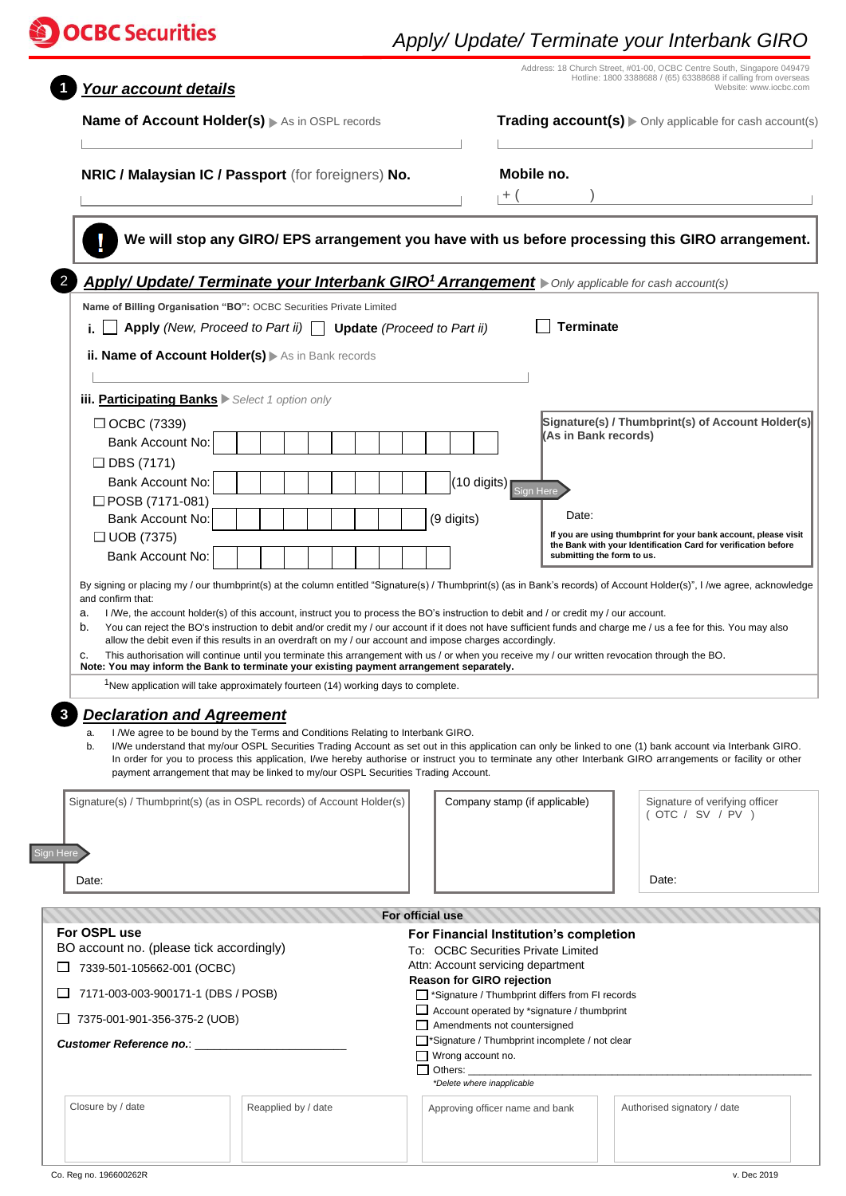## **DOCBC** Securities

## *Apply/ Update/ Terminate your Interbank GIRO*

| Your account details                                                                                |                                                                                                                                                                                                                                                                                                                                                                                                                                                                                                                             |                                                                   |                                                                                                                                                                 | Address: 18 Church Street, #01-00, OCBC Centre South, Singapore 049479<br>Hotline: 1800 3388688 / (65) 63388688 if calling from overseas<br>Website: www.iocbc.com |  |
|-----------------------------------------------------------------------------------------------------|-----------------------------------------------------------------------------------------------------------------------------------------------------------------------------------------------------------------------------------------------------------------------------------------------------------------------------------------------------------------------------------------------------------------------------------------------------------------------------------------------------------------------------|-------------------------------------------------------------------|-----------------------------------------------------------------------------------------------------------------------------------------------------------------|--------------------------------------------------------------------------------------------------------------------------------------------------------------------|--|
| Name of Account Holder(s) As in OSPL records                                                        |                                                                                                                                                                                                                                                                                                                                                                                                                                                                                                                             |                                                                   |                                                                                                                                                                 | Trading account(s) > Only applicable for cash account(s)                                                                                                           |  |
| NRIC / Malaysian IC / Passport (for foreigners) No.                                                 |                                                                                                                                                                                                                                                                                                                                                                                                                                                                                                                             | Mobile no.<br>$+$ (                                               |                                                                                                                                                                 |                                                                                                                                                                    |  |
|                                                                                                     | We will stop any GIRO/ EPS arrangement you have with us before processing this GIRO arrangement.                                                                                                                                                                                                                                                                                                                                                                                                                            |                                                                   |                                                                                                                                                                 |                                                                                                                                                                    |  |
|                                                                                                     | Apply/ Update/ Terminate your Interbank GIRO <sup>1</sup> Arrangement > Only applicable for cash account(s)                                                                                                                                                                                                                                                                                                                                                                                                                 |                                                                   |                                                                                                                                                                 |                                                                                                                                                                    |  |
|                                                                                                     | Name of Billing Organisation "BO": OCBC Securities Private Limited<br>Apply (New, Proceed to Part ii) $\Box$ Update (Proceed to Part ii)                                                                                                                                                                                                                                                                                                                                                                                    |                                                                   | <b>Terminate</b>                                                                                                                                                |                                                                                                                                                                    |  |
| ii. Name of Account Holder(s) > As in Bank records                                                  |                                                                                                                                                                                                                                                                                                                                                                                                                                                                                                                             |                                                                   |                                                                                                                                                                 |                                                                                                                                                                    |  |
| iii. Participating Banks > Select 1 option only                                                     |                                                                                                                                                                                                                                                                                                                                                                                                                                                                                                                             |                                                                   |                                                                                                                                                                 |                                                                                                                                                                    |  |
| $\Box$ OCBC (7339)<br>Bank Account No:<br>$\Box$ DBS (7171)                                         |                                                                                                                                                                                                                                                                                                                                                                                                                                                                                                                             |                                                                   | (As in Bank records)                                                                                                                                            | Signature(s) / Thumbprint(s) of Account Holder(s)                                                                                                                  |  |
| Bank Account No:<br>$\Box$ POSB (7171-081)<br>Bank Account No:                                      |                                                                                                                                                                                                                                                                                                                                                                                                                                                                                                                             | $(10$ digits)<br>(9 digits)                                       | Sign Here<br>Date:                                                                                                                                              |                                                                                                                                                                    |  |
| $\Box$ UOB (7375)<br>Bank Account No:                                                               |                                                                                                                                                                                                                                                                                                                                                                                                                                                                                                                             |                                                                   | If you are using thumbprint for your bank account, please visit<br>the Bank with your Identification Card for verification before<br>submitting the form to us. |                                                                                                                                                                    |  |
| b.<br>c.                                                                                            | You can reject the BO's instruction to debit and/or credit my / our account if it does not have sufficient funds and charge me / us a fee for this. You may also<br>allow the debit even if this results in an overdraft on my / our account and impose charges accordingly.<br>This authorisation will continue until you terminate this arrangement with us / or when you receive my / our written revocation through the BO.<br>Note: You may inform the Bank to terminate your existing payment arrangement separately. |                                                                   |                                                                                                                                                                 |                                                                                                                                                                    |  |
|                                                                                                     | <sup>1</sup> New application will take approximately fourteen (14) working days to complete.                                                                                                                                                                                                                                                                                                                                                                                                                                |                                                                   |                                                                                                                                                                 |                                                                                                                                                                    |  |
| <b>Declaration and Agreement</b><br>а.<br>b.                                                        | I /We agree to be bound by the Terms and Conditions Relating to Interbank GIRO.<br>I/We understand that my/our OSPL Securities Trading Account as set out in this application can only be linked to one (1) bank account via Interbank GIRO.<br>In order for you to process this application, I/we hereby authorise or instruct you to terminate any other Interbank GIRO arrangements or facility or other<br>payment arrangement that may be linked to my/our OSPL Securities Trading Account.                            |                                                                   |                                                                                                                                                                 |                                                                                                                                                                    |  |
| Signature(s) / Thumbprint(s) (as in OSPL records) of Account Holder(s)                              |                                                                                                                                                                                                                                                                                                                                                                                                                                                                                                                             | Company stamp (if applicable)                                     |                                                                                                                                                                 | Signature of verifying officer<br>( OTC / SV / PV )                                                                                                                |  |
|                                                                                                     |                                                                                                                                                                                                                                                                                                                                                                                                                                                                                                                             |                                                                   |                                                                                                                                                                 |                                                                                                                                                                    |  |
| Date:                                                                                               |                                                                                                                                                                                                                                                                                                                                                                                                                                                                                                                             |                                                                   |                                                                                                                                                                 | Date:                                                                                                                                                              |  |
|                                                                                                     |                                                                                                                                                                                                                                                                                                                                                                                                                                                                                                                             | For official use                                                  |                                                                                                                                                                 |                                                                                                                                                                    |  |
|                                                                                                     |                                                                                                                                                                                                                                                                                                                                                                                                                                                                                                                             |                                                                   | For Financial Institution's completion                                                                                                                          |                                                                                                                                                                    |  |
| Sign Here<br>For OSPL use<br>BO account no. (please tick accordingly)<br>7339-501-105662-001 (OCBC) |                                                                                                                                                                                                                                                                                                                                                                                                                                                                                                                             |                                                                   | To: OCBC Securities Private Limited<br>Attn: Account servicing department                                                                                       |                                                                                                                                                                    |  |
| 7171-003-003-900171-1 (DBS / POSB)                                                                  |                                                                                                                                                                                                                                                                                                                                                                                                                                                                                                                             | <b>Reason for GIRO rejection</b>                                  | Signature / Thumbprint differs from FI records                                                                                                                  |                                                                                                                                                                    |  |
| 7375-001-901-356-375-2 (UOB)                                                                        |                                                                                                                                                                                                                                                                                                                                                                                                                                                                                                                             |                                                                   | Account operated by *signature / thumbprint<br>Amendments not countersigned                                                                                     |                                                                                                                                                                    |  |
| Customer Reference no.: ______________                                                              |                                                                                                                                                                                                                                                                                                                                                                                                                                                                                                                             | $\Box$ Wrong account no.<br>Others:<br>*Delete where inapplicable | Signature / Thumbprint incomplete / not clear                                                                                                                   |                                                                                                                                                                    |  |